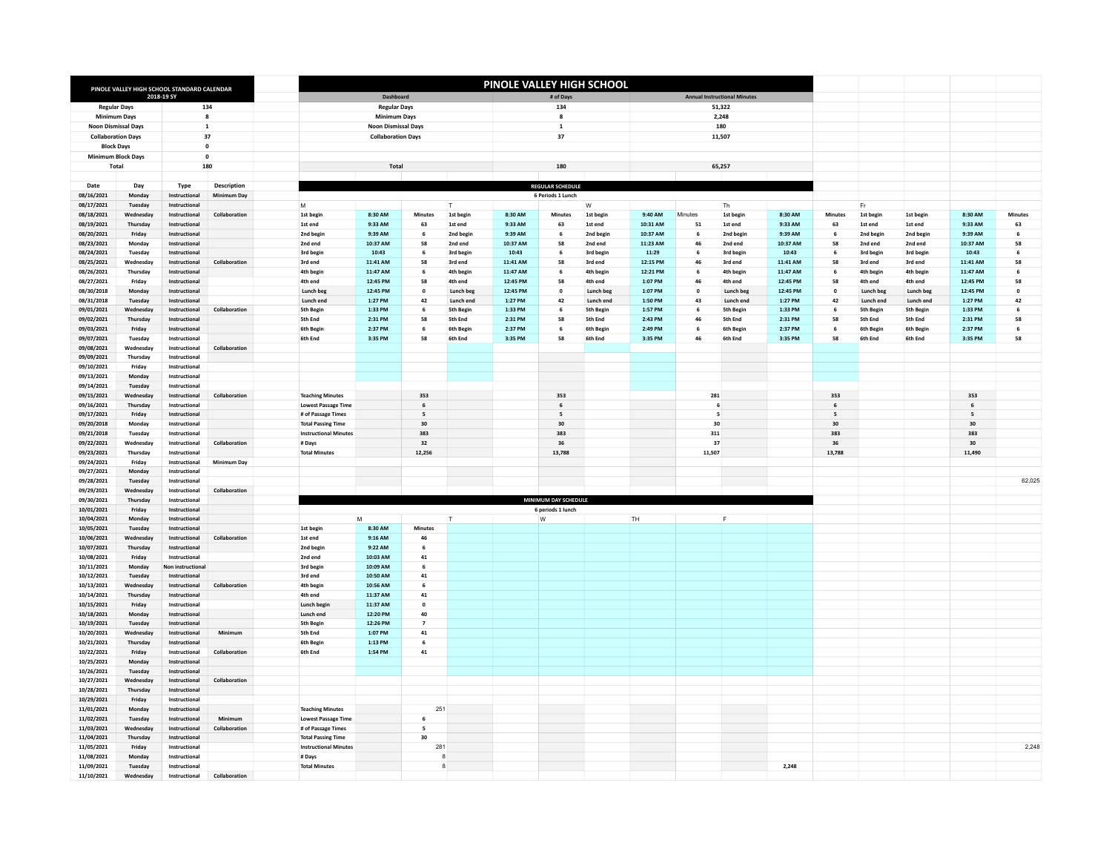|                            |                       |                                                           |                    |                                |                            |                          |                      | PINOLE VALLEY HIGH SCHOOL                        |                          |                      |                      |           |                      |                      |                          |                      |                      |                          |                |
|----------------------------|-----------------------|-----------------------------------------------------------|--------------------|--------------------------------|----------------------------|--------------------------|----------------------|--------------------------------------------------|--------------------------|----------------------|----------------------|-----------|----------------------|----------------------|--------------------------|----------------------|----------------------|--------------------------|----------------|
|                            |                       | PINOLE VALLEY HIGH SCHOOL STANDARD CALENDAR<br>2018-19 SY |                    |                                | Dashboard                  |                          |                      | # of Days<br><b>Annual Instructional Minutes</b> |                          |                      |                      |           |                      |                      |                          |                      |                      |                          |                |
| <b>Regular Days</b>        |                       |                                                           | 134                |                                | <b>Regular Days</b>        |                          |                      | 134<br>51,322                                    |                          |                      |                      |           |                      |                      |                          |                      |                      |                          |                |
| Minimum Days               |                       | 8                                                         |                    |                                | Minimum Days               |                          |                      |                                                  | 8<br>2,248               |                      |                      |           |                      |                      |                          |                      |                      |                          |                |
| <b>Noon Dismissal Days</b> |                       |                                                           | $\mathbf 1$        |                                | <b>Noon Dismissal Days</b> |                          |                      |                                                  | $\mathbf 1$<br>180       |                      |                      |           |                      |                      |                          |                      |                      |                          |                |
| <b>Collaboration Davs</b>  |                       |                                                           | 37                 | <b>Collaboration Days</b>      |                            |                          |                      | 37                                               |                          |                      |                      | 11,507    |                      |                      |                          |                      |                      |                          |                |
| <b>Block Days</b>          |                       |                                                           | $\pmb{0}$          |                                |                            |                          |                      |                                                  |                          |                      |                      |           |                      |                      |                          |                      |                      |                          |                |
| <b>Minimum Block Days</b>  |                       |                                                           | $\pmb{\mathsf{o}}$ |                                |                            |                          |                      |                                                  |                          |                      |                      |           |                      |                      |                          |                      |                      |                          |                |
| Total                      |                       |                                                           | 180                |                                | Total                      |                          |                      |                                                  | 180                      |                      |                      |           | 65,257               |                      |                          |                      |                      |                          |                |
| Date                       | Dav                   |                                                           | <b>Description</b> |                                |                            |                          |                      |                                                  | <b>REGULAR SCHEDULE</b>  |                      |                      |           |                      |                      |                          |                      |                      |                          |                |
| 08/16/2021                 | Monday                | Type<br>Instructional                                     | <b>Minimum Day</b> |                                |                            |                          |                      |                                                  | 6 Periods 1 Lunch        |                      |                      |           |                      |                      |                          |                      |                      |                          |                |
| 08/17/2021                 | Tuesday               | Instructional                                             |                    | M                              |                            |                          | T.                   |                                                  |                          | W                    |                      |           | Th                   |                      |                          | Er                   |                      |                          |                |
| 08/18/2021                 | Wednesday             | Instructional                                             | Collaboration      | 1st begin                      | 8:30 AM                    | <b>Minutes</b>           | 1st begin            | 8:30 AM                                          | <b>Minutes</b>           | 1st begin            | 9:40 AM              | Minutes   | 1st begin            | 8:30 AM              | <b>Minutes</b>           | 1st begin            | 1st begin            | 8:30 AM                  | <b>Minutes</b> |
| 08/19/2021                 | Thursday              | Instructional                                             |                    | 1st end                        | 9:33 AM                    | 63                       | 1st end              | 9:33 AM                                          | 63                       | 1st end              | 10:31 AM             | 51        | 1st end              | 9:33 AM              | 63                       | 1st end              | 1st end              | 9:33 AM                  | 63             |
| 08/20/2021                 | Friday                | Instructional                                             |                    | 2nd begin                      | 9:39 AM                    | 6                        | 2nd begin            | 9:39 AM                                          | 6                        | 2nd begin            | 10:37 AM             | 6         | 2nd begin            | 9:39 AM              | 6                        | 2nd begin            | 2nd begin            | 9:39 AM                  | 6              |
| 08/23/2021                 | Monday                | Instructional                                             |                    | 2nd end                        | 10:37 AM                   | 58                       | 2nd end              | 10:37 AM                                         | 58                       | 2nd end              | 11:23 AM             | 46        | 2nd end              | 10:37 AM             | 58                       | 2nd end              | 2nd end              | 10:37 AM                 | 58             |
| 08/24/2021                 | Tuesday               | Instructional                                             |                    | 3rd begin                      | 10:43                      | 6                        | 3rd begin            | 10:43                                            | 6                        | 3rd begin            | 11:29                | 6         | 3rd begin            | 10:43                | 6                        | 3rd begin            | 3rd begin            | 10:43                    | 6              |
| 08/25/2021<br>08/26/2021   | Wednesday<br>Thursday | Instructional<br>Instructional                            | Collaboration      | 3rd end<br>4th begin           | 11:41 AM<br>11:47 AM       | 58<br>6                  | 3rd end<br>4th begin | 11:41 AM<br>11:47 AM                             | 58<br>6                  | 3rd end<br>4th begin | 12:15 PM<br>12:21 PM | 46<br>6   | 3rd end<br>4th begin | 11:41 AM<br>11:47 AM | 58<br>6                  | 3rd end<br>4th begin | 3rd end<br>4th begin | 11:41 AM<br>11:47 AM     | 58<br>6        |
| 08/27/2021                 | Friday                | Instructional                                             |                    | 4th end                        | 12:45 PM                   | 58                       | 4th end              | 12:45 PM                                         | 58                       | 4th end              | $1:07$ PM            | 46        | 4th end              | 12:45 PM             | 58                       | 4th end              | 4th end              | 12:45 PM                 | 58             |
| 08/30/2018                 | Monday                | Instructional                                             |                    | Lunch beg                      | 12:45 PM                   | $\mathbf{0}$             | Lunch beg            | 12:45 PM                                         | $\mathbf{0}$             | Lunch beg            | 1:07 PM              | $\pmb{0}$ | Lunch beg            | 12:45 PM             | $\pmb{0}$                | Lunch beg            | Lunch beg            | 12:45 PM                 | $\mathbf{0}$   |
| 08/31/2018                 | Tuesday               | Instructional                                             |                    | Lunch end                      | 1:27 PM                    | 42                       | Lunch end            | 1:27 PM                                          | 42                       | Lunch end            | 1:50 PM              | 43        | Lunch end            | 1:27 PM              | 42                       | Lunch end            | Lunch end            | 1:27 PM                  | 42             |
| 09/01/2021                 | Wednesday             | Instructional                                             | Collaboration      | <b>5th Begin</b>               | 1:33 PM                    | 6                        | <b>5th Begin</b>     | 1:33 PM                                          | 6                        | <b>5th Begin</b>     | 1:57 PM              | 6         | <b>Sth Begin</b>     | 1:33 PM              | 6                        | <b>5th Begin</b>     | <b>5th Begin</b>     | 1:33 PM                  | 6              |
| 09/02/2021                 | Thursday              | Instructional                                             |                    | 5th End                        | 2:31 PM                    | 58                       | 5th End              | 2:31 PM                                          | 58                       | 5th End              | 2:43 PM              | 46        | 5th End              | 2:31 PM              | 58                       | 5th End              | 5th End              | 2:31 PM                  | 58             |
| 09/03/2021                 | Friday                | Instructional                                             |                    | 6th Begin                      | 2:37 PM                    | 6                        | <b>6th Begin</b>     | 2:37 PM                                          | 6                        | 6th Begin            | 2:49 PM              | 6         | 6th Begin            | 2:37 PM              | 6                        | 6th Begin            | 6th Begin            | 2:37 PM                  | 6              |
| 09/07/2021                 | Tuesday               | Instructional                                             |                    | 6th End                        | 3:35 PM                    | 58                       | 6th End              | 3:35 PM                                          | 58                       | 6th End              | 3:35 PM              | 46        | 6th End              | 3:35 PM              | 58                       | 6th End              | 6th End              | 3:35 PM                  | 58             |
| 09/08/2021                 | Wednesday             | Instructional                                             | Collaboration      |                                |                            |                          |                      |                                                  |                          |                      |                      |           |                      |                      |                          |                      |                      |                          |                |
| 09/09/2021<br>09/10/2021   | Thursday<br>Friday    | Instructional<br>Instructional                            |                    |                                |                            |                          |                      |                                                  |                          |                      |                      |           |                      |                      |                          |                      |                      |                          |                |
| 09/13/2021                 | Monday                | Instructional                                             |                    |                                |                            |                          |                      |                                                  |                          |                      |                      |           |                      |                      |                          |                      |                      |                          |                |
| 09/14/2021                 | Tuesday               | Instructional                                             |                    |                                |                            |                          |                      |                                                  |                          |                      |                      |           |                      |                      |                          |                      |                      |                          |                |
| 09/15/2021                 | Wednesday             | Instructional                                             | Collaboration      | <b>Teaching Minutes</b>        |                            | 353                      |                      |                                                  | 353                      |                      |                      |           | 281                  |                      | 353                      |                      |                      | 353                      |                |
| 09/16/2021                 | Thursday              | Instructional                                             |                    | Lowest Passage Time            |                            | $6\overline{6}$          |                      |                                                  | $6\phantom{1}$           |                      |                      |           | 6                    |                      | $\,$ 6 $\,$              |                      |                      | $\,$ 6 $\,$              |                |
| 09/17/2021                 | Friday                | Instructional                                             |                    | # of Passage Times             |                            | $\overline{\phantom{a}}$ |                      |                                                  | $\overline{\phantom{a}}$ |                      |                      |           | 5                    |                      | $\overline{\phantom{a}}$ |                      |                      | $\overline{\phantom{a}}$ |                |
| 09/20/2018                 | Mondav                | Instructional                                             |                    | <b>Total Passing Time</b>      |                            | 30                       |                      |                                                  | 30                       |                      |                      |           | 30                   |                      | 30                       |                      |                      | 30                       |                |
| 09/21/2018                 | Tuesday               | Instructional                                             |                    | <b>Instructional Minutes</b>   |                            | 383                      |                      |                                                  | 383                      |                      |                      |           | 311                  |                      | 383                      |                      |                      | 383                      |                |
| 09/22/2021<br>09/23/2021   | Wednesday<br>Thursday | Instructional<br>Instructional                            | Collaboration      | # Days<br><b>Total Minutes</b> |                            | 32<br>12.256             |                      |                                                  | 36<br>13,788             |                      |                      |           | 37<br>11.507         |                      | 36<br>13,788             |                      |                      | 30<br>11,490             |                |
| 09/24/2021                 | Friday                | Instructional                                             | <b>Minimum Dav</b> |                                |                            |                          |                      |                                                  |                          |                      |                      |           |                      |                      |                          |                      |                      |                          |                |
| 09/27/2021                 | Monday                | Instructional                                             |                    |                                |                            |                          |                      |                                                  |                          |                      |                      |           |                      |                      |                          |                      |                      |                          |                |
| 09/28/2021                 | Tuesday               | Instructional                                             |                    |                                |                            |                          |                      |                                                  |                          |                      |                      |           |                      |                      |                          |                      |                      |                          | 62,025         |
| 09/29/2021                 | Wednesday             | Instructional                                             | Collaboration      |                                |                            |                          |                      |                                                  |                          |                      |                      |           |                      |                      |                          |                      |                      |                          |                |
| 09/30/2021                 | Thursday              | Instructional                                             |                    |                                |                            |                          |                      |                                                  | MINIMUM DAY SCHEDULE     |                      |                      |           |                      |                      |                          |                      |                      |                          |                |
| 10/01/2021                 | Friday                | Instructional                                             |                    |                                |                            |                          |                      |                                                  | 6 periods 1 lunch        |                      |                      |           |                      |                      |                          |                      |                      |                          |                |
| 10/04/2021                 | Monday                | Instructional                                             |                    | M                              |                            |                          | $\mathsf{L}$         |                                                  | W                        |                      | TH                   |           | E                    |                      |                          |                      |                      |                          |                |
| 10/05/2021<br>10/06/2021   | Tuesday<br>Wednesday  | Instructional<br>Instructional                            | Collaboration      | 1st begin<br>1st end           | 8:30 AM<br>9:16 AM         | Minutes<br>46            |                      |                                                  |                          |                      |                      |           |                      |                      |                          |                      |                      |                          |                |
| 10/07/2021                 | Thursday              | Instructional                                             |                    | 2nd begin                      | 9:22 AM                    | 6                        |                      |                                                  |                          |                      |                      |           |                      |                      |                          |                      |                      |                          |                |
| 10/08/2021                 | Friday                | Instructional                                             |                    | 2nd end                        | 10:03 AM                   | 41                       |                      |                                                  |                          |                      |                      |           |                      |                      |                          |                      |                      |                          |                |
| 10/11/2021                 | Monday                | Non instructional                                         |                    | 3rd begin                      | 10:09 AM                   | 6                        |                      |                                                  |                          |                      |                      |           |                      |                      |                          |                      |                      |                          |                |
| 10/12/2021                 | Tuesday               | Instructional                                             |                    | 3rd end                        | 10:50 AM                   | 41                       |                      |                                                  |                          |                      |                      |           |                      |                      |                          |                      |                      |                          |                |
| 10/13/2021                 | Wednesda              | Instructional                                             | Collaboration      | 4th begin                      | 10:56 AM                   | 6                        |                      |                                                  |                          |                      |                      |           |                      |                      |                          |                      |                      |                          |                |
| 10/14/2021                 | Thursday              | Instructional                                             |                    | 4th end                        | 11:37 AM                   | 41                       |                      |                                                  |                          |                      |                      |           |                      |                      |                          |                      |                      |                          |                |
| 10/15/2021                 | Friday                | Instructional                                             |                    | Lunch begin                    | 11:37 AM                   | $\pmb{\mathsf{o}}$       |                      |                                                  |                          |                      |                      |           |                      |                      |                          |                      |                      |                          |                |
| 10/18/2021<br>10/19/2021   | Monday<br>Tuesday     | Instructional<br>Instructional                            |                    | Lunch end<br>5th Begin         | 12:20 PM<br>12:26 PM       | 40<br>$\overline{7}$     |                      |                                                  |                          |                      |                      |           |                      |                      |                          |                      |                      |                          |                |
| 10/20/2021                 | Wednesday             | Instructional                                             | Minimum            | 5th End                        | 1:07 PM                    | 41                       |                      |                                                  |                          |                      |                      |           |                      |                      |                          |                      |                      |                          |                |
| 10/21/2021                 | Thursday              | Instructional                                             |                    | 6th Begin                      | 1:13 PM                    | 6                        |                      |                                                  |                          |                      |                      |           |                      |                      |                          |                      |                      |                          |                |
| 10/22/2021                 | Friday                | Instructional                                             | Collaboration      | 6th End                        | 1:54 PM                    | 41                       |                      |                                                  |                          |                      |                      |           |                      |                      |                          |                      |                      |                          |                |
| 10/25/2021                 | Monday                | Instructional                                             |                    |                                |                            |                          |                      |                                                  |                          |                      |                      |           |                      |                      |                          |                      |                      |                          |                |
| 10/26/2021                 | Tuesday               | Instructional                                             |                    |                                |                            |                          |                      |                                                  |                          |                      |                      |           |                      |                      |                          |                      |                      |                          |                |
| 10/27/2021                 | Wednesday             | Instructional                                             | Collaboration      |                                |                            |                          |                      |                                                  |                          |                      |                      |           |                      |                      |                          |                      |                      |                          |                |
| 10/28/2021                 | Thursday              | Instructional                                             |                    |                                |                            |                          |                      |                                                  |                          |                      |                      |           |                      |                      |                          |                      |                      |                          |                |
| 10/29/2021<br>11/01/2021   | Friday<br>Monday      | Instructional<br>Instructional                            |                    | <b>Teaching Minutes</b>        |                            | 251                      |                      |                                                  |                          |                      |                      |           |                      |                      |                          |                      |                      |                          |                |
| 11/02/2021                 | Tuesday               | Instructional                                             | Minimum            | <b>Lowest Passage Time</b>     |                            | 6                        |                      |                                                  |                          |                      |                      |           |                      |                      |                          |                      |                      |                          |                |
| 11/03/2021                 | Wednesday             | Instructional                                             | Collaboration      | # of Passage Times             |                            | $\overline{\phantom{a}}$ |                      |                                                  |                          |                      |                      |           |                      |                      |                          |                      |                      |                          |                |
| 11/04/2021                 | Thursday              | Instructional                                             |                    | <b>Total Passing Time</b>      |                            | 30                       |                      |                                                  |                          |                      |                      |           |                      |                      |                          |                      |                      |                          |                |
| 11/05/2021                 | Friday                | Instructional                                             |                    | <b>Instructional Minutes</b>   |                            | 281                      |                      |                                                  |                          |                      |                      |           |                      |                      |                          |                      |                      |                          | 2,248          |
| 11/08/2021                 | Monday                | Instructional                                             |                    | # Days                         |                            |                          | я                    |                                                  |                          |                      |                      |           |                      |                      |                          |                      |                      |                          |                |
| 11/09/2021                 | Tuesday               | Instructional                                             |                    | <b>Total Minutes</b>           |                            |                          | 8                    |                                                  |                          |                      |                      |           |                      | 2,248                |                          |                      |                      |                          |                |
| 11/10/2021                 | Wednesday             | Instructional                                             | Collaboration      |                                |                            |                          |                      |                                                  |                          |                      |                      |           |                      |                      |                          |                      |                      |                          |                |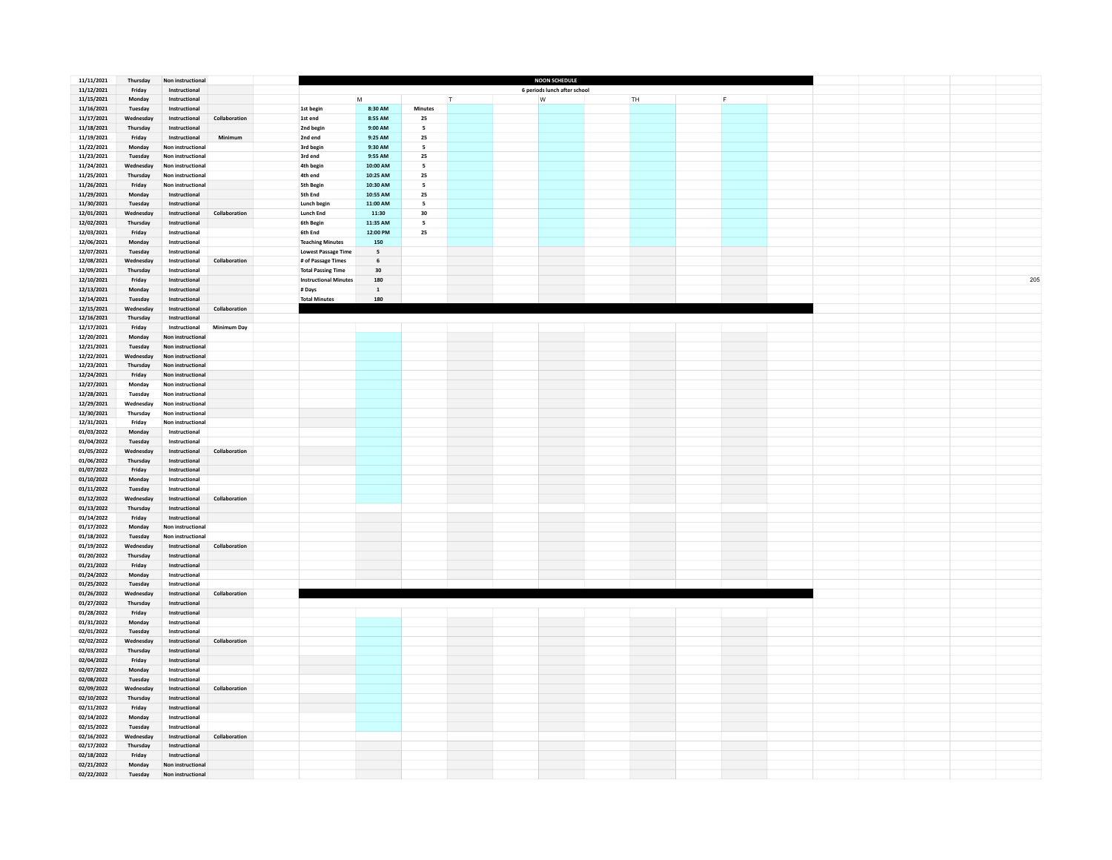| 11/11/2021               | Thursday             | Non instructional                      |               |                              |                      |                      |        | <b>NOON SCHEDULE</b>         |    |   |  |  |     |
|--------------------------|----------------------|----------------------------------------|---------------|------------------------------|----------------------|----------------------|--------|------------------------------|----|---|--|--|-----|
| 11/12/2021               | Friday               | Instructional                          |               |                              | M                    |                      |        | 6 periods lunch after school |    |   |  |  |     |
| 11/15/2021<br>11/16/2021 | Monday<br>Tuesday    | Instructional<br>Instructional         |               |                              | 8:30 AM              | <b>Minutes</b>       | $\top$ | W                            | TH | F |  |  |     |
| 11/17/2021               | Wednesday            | Instructional                          | Collaboration | 1st begin<br>1st end         | 8:55 AM              | 25                   |        |                              |    |   |  |  |     |
| 11/18/2021               | Thursday             | Instructional                          |               | 2nd begin                    | 9:00 AM              | 5                    |        |                              |    |   |  |  |     |
| 11/19/2021               | Friday               | Instructional                          | Minimum       | 2nd end                      | 9:25 AM              | 25                   |        |                              |    |   |  |  |     |
| 11/22/2021               | Monday               | Non instructional                      |               | 3rd begin                    | 9:30 AM              | -5                   |        |                              |    |   |  |  |     |
| 11/23/2021               | Tuesday              | Non instructional                      |               | 3rd end                      | 9:55 AM              | 25                   |        |                              |    |   |  |  |     |
| 11/24/2021               | Wednesdav            | Non instructional                      |               | 4th begin                    | 10:00 AM             | $\overline{5}$       |        |                              |    |   |  |  |     |
| 11/25/2021               | Thursday             | Non instructional                      |               | 4th end                      | 10:25 AM             | 25                   |        |                              |    |   |  |  |     |
| 11/26/2021               | Friday               | Non instructional                      |               | <b>5th Begin</b>             | 10:30 AM<br>10:55 AM | 5                    |        |                              |    |   |  |  |     |
| 11/29/2021               | Monday               | Instructional<br>Instructional         |               | 5th End<br>Lunch begin       | 11:00 AM             | 25<br>$\overline{5}$ |        |                              |    |   |  |  |     |
| 11/30/2021<br>12/01/2021 | Tuesday<br>Wednesday | Instructional                          | Collaboration | <b>Lunch End</b>             | 11:30                | 30                   |        |                              |    |   |  |  |     |
| 12/02/2021               | Thursday             | Instructional                          |               | 6th Begin                    | 11:35 AM             | 5                    |        |                              |    |   |  |  |     |
| 12/03/2021               | Friday               | Instructional                          |               | 6th End                      | 12:00 PM             | 25                   |        |                              |    |   |  |  |     |
| 12/06/2021               | Monday               | Instructional                          |               | <b>Teaching Minutes</b>      | 150                  |                      |        |                              |    |   |  |  |     |
| 12/07/2021               | Tuesday              | Instructional                          |               | <b>Lowest Passage Time</b>   | $\mathsf{s}$         |                      |        |                              |    |   |  |  |     |
| 12/08/2021               | Wednesday            | Instructional                          | Collaboration | # of Passage Times           | $\,$ 6               |                      |        |                              |    |   |  |  |     |
| 12/09/2021               | Thursday             | Instructional                          |               | <b>Total Passing Time</b>    | $\bf{30}$            |                      |        |                              |    |   |  |  |     |
| 12/10/2021               | Friday               | Instructional                          |               | <b>Instructional Minutes</b> | 180                  |                      |        |                              |    |   |  |  | 205 |
| 12/13/2021               | Monday               | Instructional                          |               | # Days                       | $\,$ 1 $\,$          |                      |        |                              |    |   |  |  |     |
| 12/14/2021               | Tuesday              | Instructional                          |               | <b>Total Minutes</b>         | 180                  |                      |        |                              |    |   |  |  |     |
| 12/15/2021               | Wednesday            | Instructional                          | Collaboration |                              |                      |                      |        |                              |    |   |  |  |     |
| 12/16/2021<br>12/17/2021 | Thursday<br>Friday   | Instructional<br>Instructional         | Minimum Day   |                              |                      |                      |        |                              |    |   |  |  |     |
| 12/20/2021               | Monday               | Non instructional                      |               |                              |                      |                      |        |                              |    |   |  |  |     |
| 12/21/2021               | Tuesday              | Non instructional                      |               |                              |                      |                      |        |                              |    |   |  |  |     |
| 12/22/2021               | Wednesday            | Non instructional                      |               |                              |                      |                      |        |                              |    |   |  |  |     |
| 12/23/2021               | Thursday             | Non instructional                      |               |                              |                      |                      |        |                              |    |   |  |  |     |
| 12/24/2021               | Friday               | Non instructional                      |               |                              |                      |                      |        |                              |    |   |  |  |     |
| 12/27/2021               | Monday               | Non instructional                      |               |                              |                      |                      |        |                              |    |   |  |  |     |
| 12/28/2021               | Tuesday              | Non instructional                      |               |                              |                      |                      |        |                              |    |   |  |  |     |
| 12/29/2021               | Wednesday            | Non instructional                      |               |                              |                      |                      |        |                              |    |   |  |  |     |
| 12/30/2021               | Thursday             | Non instructional                      |               |                              |                      |                      |        |                              |    |   |  |  |     |
| 12/31/2021               | Friday               | Non instructional                      |               |                              |                      |                      |        |                              |    |   |  |  |     |
| 01/03/2022<br>01/04/2022 | Monday<br>Tuesday    | Instructional<br>Instructional         |               |                              |                      |                      |        |                              |    |   |  |  |     |
| 01/05/2022               | Wednesday            | Instructional                          | Collaboration |                              |                      |                      |        |                              |    |   |  |  |     |
| 01/06/2022               | Thursday             | Instructional                          |               |                              |                      |                      |        |                              |    |   |  |  |     |
| 01/07/2022               | Friday               | Instructional                          |               |                              |                      |                      |        |                              |    |   |  |  |     |
| 01/10/2022               | Monday               | Instructional                          |               |                              |                      |                      |        |                              |    |   |  |  |     |
| 01/11/2022               | Tuesday              | Instructional                          |               |                              |                      |                      |        |                              |    |   |  |  |     |
| 01/12/2022               | Wednesday            | Instructional                          | Collaboration |                              |                      |                      |        |                              |    |   |  |  |     |
| 01/13/2022               | Thursday             | Instructional                          |               |                              |                      |                      |        |                              |    |   |  |  |     |
| 01/14/2022               | Friday               | Instructional                          |               |                              |                      |                      |        |                              |    |   |  |  |     |
| 01/17/2022               | Monday<br>Tuesday    | Non instructional<br>Non instructional |               |                              |                      |                      |        |                              |    |   |  |  |     |
| 01/18/2022<br>01/19/2022 | Wednesday            | Instructional                          | Collaboration |                              |                      |                      |        |                              |    |   |  |  |     |
| 01/20/2022               | Thursday             | Instructional                          |               |                              |                      |                      |        |                              |    |   |  |  |     |
| 01/21/2022               | Friday               | Instructional                          |               |                              |                      |                      |        |                              |    |   |  |  |     |
| 01/24/2022               | Monday               | Instructional                          |               |                              |                      |                      |        |                              |    |   |  |  |     |
| 01/25/2022               | Tuesday              | Instructional                          |               |                              |                      |                      |        |                              |    |   |  |  |     |
| 01/26/2022               | Wednesday            | Instructional                          | Collaboration |                              |                      |                      |        |                              |    |   |  |  |     |
| 01/27/2022               | Thursday             | Instructional                          |               |                              |                      |                      |        |                              |    |   |  |  |     |
| 01/28/2022               | Friday               | Instructional                          |               |                              |                      |                      |        |                              |    |   |  |  |     |
| 01/31/2022<br>02/01/2022 | Monday<br>Tuesday    | Instructional<br>Instructional         |               |                              |                      |                      |        |                              |    |   |  |  |     |
| 02/02/2022               | Wednesday            | Instructional                          | Collaboration |                              |                      |                      |        |                              |    |   |  |  |     |
| 02/03/2022               | Thursday             | Instructional                          |               |                              |                      |                      |        |                              |    |   |  |  |     |
| 02/04/2022               | Friday               | Instructional                          |               |                              |                      |                      |        |                              |    |   |  |  |     |
| 02/07/2022               | Monday               | Instructional                          |               |                              |                      |                      |        |                              |    |   |  |  |     |
| 02/08/2022               | Tuesday              | Instructional                          |               |                              |                      |                      |        |                              |    |   |  |  |     |
| 02/09/2022               | Wednesday            | Instructional                          | Collaboration |                              |                      |                      |        |                              |    |   |  |  |     |
| 02/10/2022               | Thursday             | Instructional                          |               |                              |                      |                      |        |                              |    |   |  |  |     |
| 02/11/2022               | Friday               | Instructional                          |               |                              |                      |                      |        |                              |    |   |  |  |     |
| 02/14/2022               | Monday               | Instructional                          |               |                              |                      |                      |        |                              |    |   |  |  |     |
| 02/15/2022<br>02/16/2022 | Tuesday<br>Wednesday | Instructional<br>Instructional         | Collaboration |                              |                      |                      |        |                              |    |   |  |  |     |
| 02/17/2022               | Thursday             | Instructional                          |               |                              |                      |                      |        |                              |    |   |  |  |     |
| 02/18/2022               | Friday               | Instructional                          |               |                              |                      |                      |        |                              |    |   |  |  |     |
| 02/21/2022               | Monday               | Non instructional                      |               |                              |                      |                      |        |                              |    |   |  |  |     |
| 02/22/2022               | Tuesday              | Non instructional                      |               |                              |                      |                      |        |                              |    |   |  |  |     |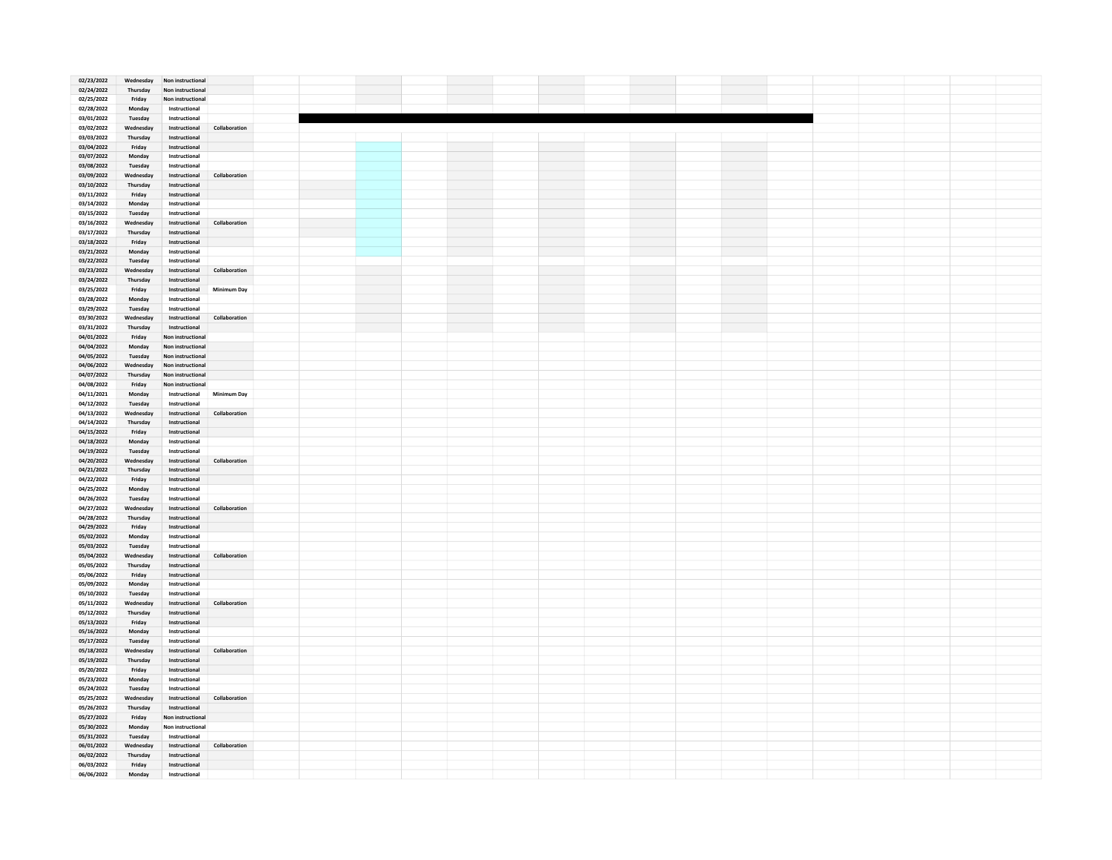| 02/23/2022 | Wednesday | Non instructional                   |  |  |  |  |  |  |  |
|------------|-----------|-------------------------------------|--|--|--|--|--|--|--|
| 02/24/2022 | Thursday  | Non instructional                   |  |  |  |  |  |  |  |
| 02/25/2022 | Friday    | Non instructional                   |  |  |  |  |  |  |  |
|            |           |                                     |  |  |  |  |  |  |  |
| 02/28/2022 | Monday    | Instructional                       |  |  |  |  |  |  |  |
| 03/01/2022 | Tuesday   | Instructional                       |  |  |  |  |  |  |  |
| 03/02/2022 | Wednesday | Instructional<br>Collaboration      |  |  |  |  |  |  |  |
|            |           |                                     |  |  |  |  |  |  |  |
| 03/03/2022 | Thursday  | Instructional                       |  |  |  |  |  |  |  |
| 03/04/2022 | Friday    | Instructional                       |  |  |  |  |  |  |  |
| 03/07/2022 | Monday    | Instructional                       |  |  |  |  |  |  |  |
| 03/08/2022 | Tuesday   | Instructional                       |  |  |  |  |  |  |  |
|            |           |                                     |  |  |  |  |  |  |  |
| 03/09/2022 | Wednesday | Instructional<br>Collaboration      |  |  |  |  |  |  |  |
| 03/10/2022 | Thursday  | Instructional                       |  |  |  |  |  |  |  |
| 03/11/2022 | Friday    | Instructional                       |  |  |  |  |  |  |  |
|            |           |                                     |  |  |  |  |  |  |  |
| 03/14/2022 | Monday    | Instructional                       |  |  |  |  |  |  |  |
| 03/15/2022 | Tuesday   | Instructional                       |  |  |  |  |  |  |  |
| 03/16/2022 | Wednesday | Instructional<br>Collaboration      |  |  |  |  |  |  |  |
|            |           |                                     |  |  |  |  |  |  |  |
| 03/17/2022 | Thursday  | Instructional                       |  |  |  |  |  |  |  |
| 03/18/2022 | Friday    | Instructional                       |  |  |  |  |  |  |  |
| 03/21/2022 | Monday    | Instructional                       |  |  |  |  |  |  |  |
|            |           |                                     |  |  |  |  |  |  |  |
| 03/22/2022 | Tuesday   | Instructional                       |  |  |  |  |  |  |  |
| 03/23/2022 | Wednesday | Instructional<br>Collaboration      |  |  |  |  |  |  |  |
| 03/24/2022 | Thursday  | Instructional                       |  |  |  |  |  |  |  |
|            |           |                                     |  |  |  |  |  |  |  |
| 03/25/2022 | Friday    | Instructional<br><b>Minimum Dav</b> |  |  |  |  |  |  |  |
| 03/28/2022 | Monday    | Instructional                       |  |  |  |  |  |  |  |
| 03/29/2022 | Tuesday   | Instructional                       |  |  |  |  |  |  |  |
|            |           |                                     |  |  |  |  |  |  |  |
| 03/30/2022 | Wednesday | Instructional<br>Collaboration      |  |  |  |  |  |  |  |
| 03/31/2022 | Thursday  | Instructional                       |  |  |  |  |  |  |  |
| 04/01/2022 | Friday    | Non instructional                   |  |  |  |  |  |  |  |
| 04/04/2022 |           | Non instructional                   |  |  |  |  |  |  |  |
|            | Monday    |                                     |  |  |  |  |  |  |  |
| 04/05/2022 | Tuesday   | Non instructional                   |  |  |  |  |  |  |  |
| 04/06/2022 | Wednesday | Non instructional                   |  |  |  |  |  |  |  |
| 04/07/2022 | Thursday  | Non instructional                   |  |  |  |  |  |  |  |
|            |           |                                     |  |  |  |  |  |  |  |
| 04/08/2022 | Friday    | Non instructional                   |  |  |  |  |  |  |  |
| 04/11/2021 | Monday    | Instructional<br>Minimum Day        |  |  |  |  |  |  |  |
| 04/12/2022 | Tuesday   | Instructional                       |  |  |  |  |  |  |  |
|            |           |                                     |  |  |  |  |  |  |  |
| 04/13/2022 | Wednesday | Instructional<br>Collaboration      |  |  |  |  |  |  |  |
| 04/14/2022 | Thursday  | Instructional                       |  |  |  |  |  |  |  |
| 04/15/2022 | Friday    | Instructional                       |  |  |  |  |  |  |  |
| 04/18/2022 |           | Instructional                       |  |  |  |  |  |  |  |
|            | Monday    |                                     |  |  |  |  |  |  |  |
| 04/19/2022 | Tuesday   | Instructional                       |  |  |  |  |  |  |  |
| 04/20/2022 | Wednesday | Instructional<br>Collaboration      |  |  |  |  |  |  |  |
| 04/21/2022 | Thursday  | Instructional                       |  |  |  |  |  |  |  |
|            |           |                                     |  |  |  |  |  |  |  |
| 04/22/2022 | Friday    | Instructional                       |  |  |  |  |  |  |  |
| 04/25/2022 | Monday    | Instructional                       |  |  |  |  |  |  |  |
| 04/26/2022 | Tuesday   | Instructional                       |  |  |  |  |  |  |  |
|            |           |                                     |  |  |  |  |  |  |  |
| 04/27/2022 | Wednesday | Instructional<br>Collaboration      |  |  |  |  |  |  |  |
| 04/28/2022 | Thursday  | Instructional                       |  |  |  |  |  |  |  |
| 04/29/2022 | Friday    | Instructional                       |  |  |  |  |  |  |  |
|            |           | Instructional                       |  |  |  |  |  |  |  |
| 05/02/2022 | Monday    |                                     |  |  |  |  |  |  |  |
| 05/03/2022 | Tuesday   | Instructional                       |  |  |  |  |  |  |  |
| 05/04/2022 | Wednesday | Instructional<br>Collaboration      |  |  |  |  |  |  |  |
| 05/05/2022 | Thursday  | Instructional                       |  |  |  |  |  |  |  |
|            |           |                                     |  |  |  |  |  |  |  |
| 05/06/2022 | Friday    | Instructional                       |  |  |  |  |  |  |  |
| 05/09/2022 | Monday    | Instructional                       |  |  |  |  |  |  |  |
| 05/10/2022 | Tuesday   | Instructional                       |  |  |  |  |  |  |  |
|            | Wednesday | Collaboration                       |  |  |  |  |  |  |  |
| 05/11/2022 |           | Instructional                       |  |  |  |  |  |  |  |
| 05/12/2022 | Thursday  | Instructional                       |  |  |  |  |  |  |  |
| 05/13/2022 | Friday    | Instructional                       |  |  |  |  |  |  |  |
| 05/16/2022 | Monday    | Instructional                       |  |  |  |  |  |  |  |
|            |           |                                     |  |  |  |  |  |  |  |
| 05/17/2022 | Tuesday   | Instructional                       |  |  |  |  |  |  |  |
| 05/18/2022 | Wednesday | Instructional<br>Collaboration      |  |  |  |  |  |  |  |
| 05/19/2022 | Thursday  | Instructional                       |  |  |  |  |  |  |  |
|            |           |                                     |  |  |  |  |  |  |  |
| 05/20/2022 | Friday    | Instructional                       |  |  |  |  |  |  |  |
| 05/23/2022 | Monday    | Instructional                       |  |  |  |  |  |  |  |
| 05/24/2022 | Tuesday   | Instructional                       |  |  |  |  |  |  |  |
|            |           |                                     |  |  |  |  |  |  |  |
| 05/25/2022 | Wednesday | Instructional<br>Collaboration      |  |  |  |  |  |  |  |
| 05/26/2022 | Thursday  | Instructional                       |  |  |  |  |  |  |  |
| 05/27/2022 | Friday    | Non instructional                   |  |  |  |  |  |  |  |
| 05/30/2022 | Monday    | Non instructional                   |  |  |  |  |  |  |  |
|            |           |                                     |  |  |  |  |  |  |  |
| 05/31/2022 | Tuesday   | Instructional                       |  |  |  |  |  |  |  |
| 06/01/2022 | Wednesday | Instructional<br>Collaboration      |  |  |  |  |  |  |  |
| 06/02/2022 | Thursday  | Instructional                       |  |  |  |  |  |  |  |
| 06/03/2022 | Friday    | Instructional                       |  |  |  |  |  |  |  |
|            |           |                                     |  |  |  |  |  |  |  |
| 06/06/2022 | Monday    | Instructional                       |  |  |  |  |  |  |  |